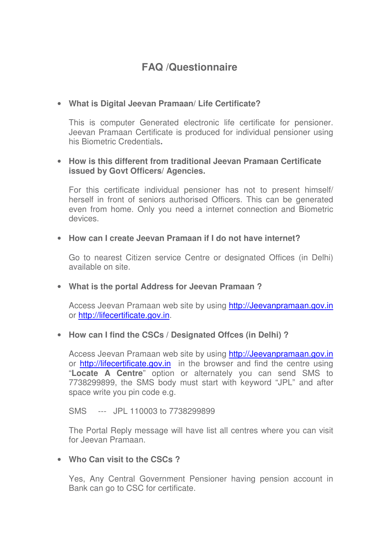# **FAQ /Questionnaire**

## • **What is Digital Jeevan Pramaan/ Life Certificate?**

This is computer Generated electronic life certificate for pensioner. Jeevan Pramaan Certificate is produced for individual pensioner using his Biometric Credentials**.** 

#### • **How is this different from traditional Jeevan Pramaan Certificate issued by Govt Officers/ Agencies.**

For this certificate individual pensioner has not to present himself/ herself in front of seniors authorised Officers. This can be generated even from home. Only you need a internet connection and Biometric devices.

#### • **How can I create Jeevan Pramaan if I do not have internet?**

Go to nearest Citizen service Centre or designated Offices (in Delhi) available on site.

#### • **What is the portal Address for Jeevan Pramaan ?**

Access Jeevan Pramaan web site by using http://Jeevanpramaan.gov.in or http://lifecertificate.gov.in.

#### • **How can I find the CSCs / Designated Offces (in Delhi) ?**

Access Jeevan Pramaan web site by using http://Jeevanpramaan.gov.in or **http://lifecertificate.gov.in** in the browser and find the centre using "**Locate A Centre**" option or alternately you can send SMS to 7738299899, the SMS body must start with keyword "JPL" and after space write you pin code e.g.

SMS --- JPL 110003 to 7738299899

The Portal Reply message will have list all centres where you can visit for Jeevan Pramaan.

#### • **Who Can visit to the CSCs ?**

Yes, Any Central Government Pensioner having pension account in Bank can go to CSC for certificate.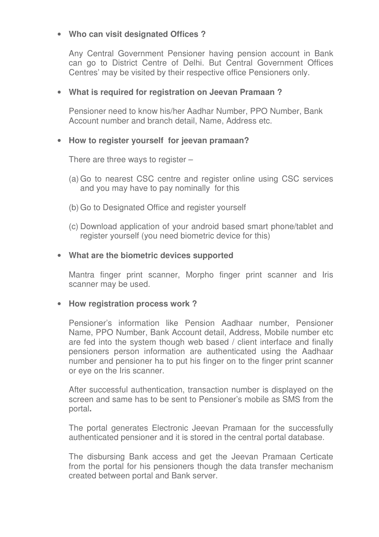### • **Who can visit designated Offices ?**

Any Central Government Pensioner having pension account in Bank can go to District Centre of Delhi. But Central Government Offices Centres' may be visited by their respective office Pensioners only.

### • **What is required for registration on Jeevan Pramaan ?**

Pensioner need to know his/her Aadhar Number, PPO Number, Bank Account number and branch detail, Name, Address etc.

## • **How to register yourself for jeevan pramaan?**

There are three ways to register –

- (a) Go to nearest CSC centre and register online using CSC services and you may have to pay nominally for this
- (b) Go to Designated Office and register yourself
- (c) Download application of your android based smart phone/tablet and register yourself (you need biometric device for this)

#### • **What are the biometric devices supported**

Mantra finger print scanner, Morpho finger print scanner and Iris scanner may be used.

#### • **How registration process work ?**

Pensioner's information like Pension Aadhaar number, Pensioner Name, PPO Number, Bank Account detail, Address, Mobile number etc are fed into the system though web based / client interface and finally pensioners person information are authenticated using the Aadhaar number and pensioner ha to put his finger on to the finger print scanner or eye on the Iris scanner.

After successful authentication, transaction number is displayed on the screen and same has to be sent to Pensioner's mobile as SMS from the portal**.** 

The portal generates Electronic Jeevan Pramaan for the successfully authenticated pensioner and it is stored in the central portal database.

The disbursing Bank access and get the Jeevan Pramaan Certicate from the portal for his pensioners though the data transfer mechanism created between portal and Bank server.